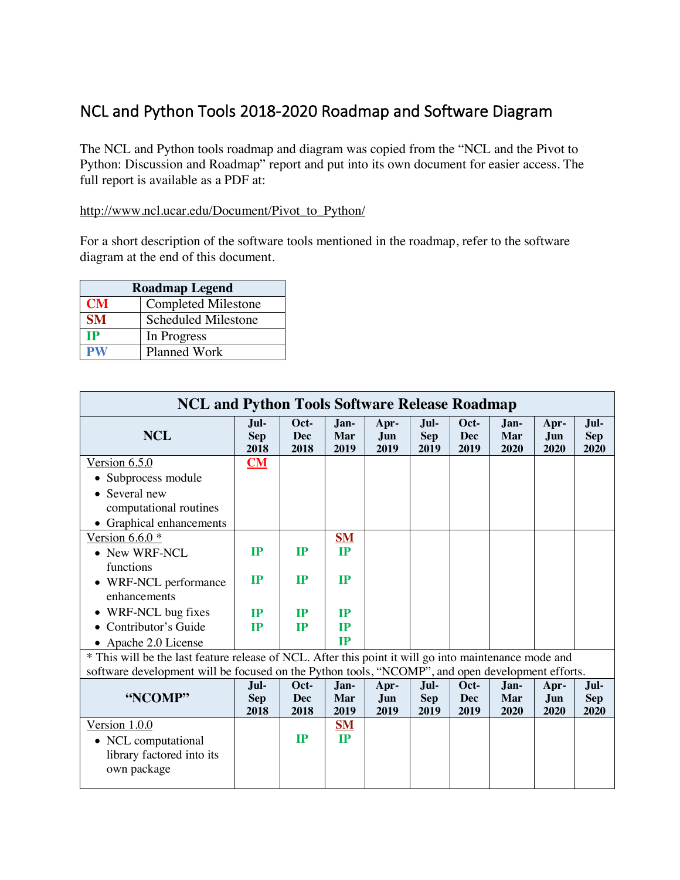## NCL and Python Tools 2018-2020 Roadmap and Software Diagram

The NCL and Python tools roadmap and diagram was copied from the "NCL and the Pivot to Python: Discussion and Roadmap" report and put into its own document for easier access. The full report is available as a PDF at:

## http://www.ncl.ucar.edu/Document/Pivot\_to\_Python/

For a short description of the software tools mentioned in the roadmap, refer to the software diagram at the end of this document.

| <b>Roadmap Legend</b> |                            |  |  |  |  |
|-----------------------|----------------------------|--|--|--|--|
| <b>CM</b>             | <b>Completed Milestone</b> |  |  |  |  |
| <b>SM</b>             | <b>Scheduled Milestone</b> |  |  |  |  |
| TР                    | In Progress                |  |  |  |  |
| PW                    | <b>Planned Work</b>        |  |  |  |  |

| <b>NCL and Python Tools Software Release Roadmap</b>                                             |                                                                                                       |                            |                     |                     |                            |                     |                     |                     |                            |  |
|--------------------------------------------------------------------------------------------------|-------------------------------------------------------------------------------------------------------|----------------------------|---------------------|---------------------|----------------------------|---------------------|---------------------|---------------------|----------------------------|--|
| <b>NCL</b>                                                                                       | Jul-<br><b>Sep</b><br>2018                                                                            | Oct-<br><b>Dec</b><br>2018 | Jan-<br>Mar<br>2019 | Apr-<br>Jun<br>2019 | Jul-<br><b>Sep</b><br>2019 | Oct-<br>Dec<br>2019 | Jan-<br>Mar<br>2020 | Apr-<br>Jun<br>2020 | Jul-<br><b>Sep</b><br>2020 |  |
| Version $6.5.0$                                                                                  | CM                                                                                                    |                            |                     |                     |                            |                     |                     |                     |                            |  |
| • Subprocess module                                                                              |                                                                                                       |                            |                     |                     |                            |                     |                     |                     |                            |  |
| Several new                                                                                      |                                                                                                       |                            |                     |                     |                            |                     |                     |                     |                            |  |
| computational routines                                                                           |                                                                                                       |                            |                     |                     |                            |                     |                     |                     |                            |  |
| • Graphical enhancements                                                                         |                                                                                                       |                            |                     |                     |                            |                     |                     |                     |                            |  |
| Version $6.6.0*$                                                                                 |                                                                                                       |                            | $SM$                |                     |                            |                     |                     |                     |                            |  |
| • New WRF-NCL                                                                                    | IP                                                                                                    | IP                         | IP                  |                     |                            |                     |                     |                     |                            |  |
| functions                                                                                        |                                                                                                       |                            |                     |                     |                            |                     |                     |                     |                            |  |
| • WRF-NCL performance                                                                            | IP                                                                                                    | IP                         | IP                  |                     |                            |                     |                     |                     |                            |  |
| enhancements                                                                                     |                                                                                                       |                            |                     |                     |                            |                     |                     |                     |                            |  |
| WRF-NCL bug fixes                                                                                | IP                                                                                                    | IP                         | <b>IP</b>           |                     |                            |                     |                     |                     |                            |  |
| Contributor's Guide                                                                              | IP                                                                                                    | IP                         | IP                  |                     |                            |                     |                     |                     |                            |  |
| • Apache 2.0 License                                                                             |                                                                                                       |                            | IP                  |                     |                            |                     |                     |                     |                            |  |
|                                                                                                  | * This will be the last feature release of NCL. After this point it will go into maintenance mode and |                            |                     |                     |                            |                     |                     |                     |                            |  |
| software development will be focused on the Python tools, "NCOMP", and open development efforts. |                                                                                                       |                            |                     |                     |                            |                     |                     |                     |                            |  |
|                                                                                                  | Jul-                                                                                                  | Oct-                       | Jan-                | Apr-                | Jul-                       | Oct-                | Jan-                | Apr-                | Jul-                       |  |
| "NCOMP"                                                                                          | <b>Sep</b><br>2018                                                                                    | Dec<br>2018                | Mar<br>2019         | Jun<br>2019         | <b>Sep</b><br>2019         | Dec<br>2019         | Mar<br>2020         | Jun<br>2020         | <b>Sep</b><br>2020         |  |
| Version $1.0.0$                                                                                  |                                                                                                       |                            | $\mathbf{SM}$       |                     |                            |                     |                     |                     |                            |  |
| • NCL computational                                                                              |                                                                                                       | $_{\rm IP}$                | <b>IP</b>           |                     |                            |                     |                     |                     |                            |  |
| library factored into its                                                                        |                                                                                                       |                            |                     |                     |                            |                     |                     |                     |                            |  |
| own package                                                                                      |                                                                                                       |                            |                     |                     |                            |                     |                     |                     |                            |  |
|                                                                                                  |                                                                                                       |                            |                     |                     |                            |                     |                     |                     |                            |  |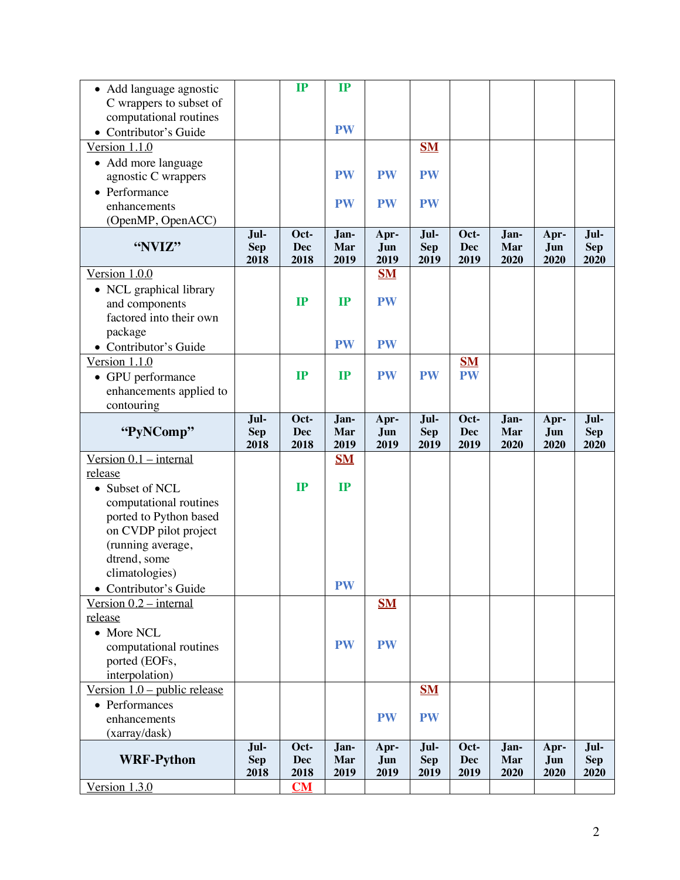| • Add language agnostic           |                    | IP                 | IP          |             |                    |                    |             |             |                    |
|-----------------------------------|--------------------|--------------------|-------------|-------------|--------------------|--------------------|-------------|-------------|--------------------|
| C wrappers to subset of           |                    |                    |             |             |                    |                    |             |             |                    |
| computational routines            |                    |                    |             |             |                    |                    |             |             |                    |
| • Contributor's Guide             |                    |                    | <b>PW</b>   |             |                    |                    |             |             |                    |
| Version 1.1.0                     |                    |                    |             |             | <b>SM</b>          |                    |             |             |                    |
| • Add more language               |                    |                    |             |             |                    |                    |             |             |                    |
| agnostic C wrappers               |                    |                    | <b>PW</b>   | <b>PW</b>   | <b>PW</b>          |                    |             |             |                    |
| • Performance                     |                    |                    |             |             |                    |                    |             |             |                    |
| enhancements                      |                    |                    | <b>PW</b>   | <b>PW</b>   | <b>PW</b>          |                    |             |             |                    |
| (OpenMP, OpenACC)                 |                    |                    |             |             |                    |                    |             |             |                    |
|                                   | Jul-               | Oct-               | Jan-        | Apr-        | Jul-               | Oct-               | Jan-        | Apr-        | Jul-               |
| "NVIZ"                            | <b>Sep</b><br>2018 | <b>Dec</b><br>2018 | Mar<br>2019 | Jun<br>2019 | <b>Sep</b><br>2019 | <b>Dec</b><br>2019 | Mar<br>2020 | Jun<br>2020 | <b>Sep</b><br>2020 |
| Version 1.0.0                     |                    |                    |             | $SM$        |                    |                    |             |             |                    |
| • NCL graphical library           |                    |                    |             |             |                    |                    |             |             |                    |
| and components                    |                    | IP                 | IP          | <b>PW</b>   |                    |                    |             |             |                    |
| factored into their own           |                    |                    |             |             |                    |                    |             |             |                    |
| package                           |                    |                    |             |             |                    |                    |             |             |                    |
| • Contributor's Guide             |                    |                    | <b>PW</b>   | <b>PW</b>   |                    |                    |             |             |                    |
| Version 1.1.0                     |                    |                    |             |             |                    | <b>SM</b>          |             |             |                    |
| • GPU performance                 |                    | IP                 | IP          | <b>PW</b>   | <b>PW</b>          | <b>PW</b>          |             |             |                    |
| enhancements applied to           |                    |                    |             |             |                    |                    |             |             |                    |
| contouring                        |                    |                    |             |             |                    |                    |             |             |                    |
| "PyNComp"                         | Jul-               | Oct-<br><b>Dec</b> | Jan-<br>Mar | Apr-<br>Jun | Jul-               | Oct-<br><b>Dec</b> | Jan-<br>Mar | Apr-<br>Jun | Jul-<br><b>Sep</b> |
|                                   | <b>Sep</b><br>2018 | 2018               | 2019        | 2019        | <b>Sep</b><br>2019 | 2019               | 2020        | 2020        | 2020               |
|                                   |                    |                    |             |             |                    |                    |             |             |                    |
|                                   |                    |                    |             |             |                    |                    |             |             |                    |
| $Version 0.1 - internal$          |                    |                    | <b>SM</b>   |             |                    |                    |             |             |                    |
| release<br>• Subset of NCL        |                    | IP                 | IP          |             |                    |                    |             |             |                    |
|                                   |                    |                    |             |             |                    |                    |             |             |                    |
| computational routines            |                    |                    |             |             |                    |                    |             |             |                    |
| ported to Python based            |                    |                    |             |             |                    |                    |             |             |                    |
| on CVDP pilot project             |                    |                    |             |             |                    |                    |             |             |                    |
| (running average,<br>dtrend, some |                    |                    |             |             |                    |                    |             |             |                    |
| climatologies)                    |                    |                    |             |             |                    |                    |             |             |                    |
| • Contributor's Guide             |                    |                    | <b>PW</b>   |             |                    |                    |             |             |                    |
| Version $0.2$ – internal          |                    |                    |             | $SM$        |                    |                    |             |             |                    |
| release                           |                    |                    |             |             |                    |                    |             |             |                    |
| • More NCL                        |                    |                    |             |             |                    |                    |             |             |                    |
| computational routines            |                    |                    | <b>PW</b>   | <b>PW</b>   |                    |                    |             |             |                    |
| ported (EOFs,                     |                    |                    |             |             |                    |                    |             |             |                    |
| interpolation)                    |                    |                    |             |             |                    |                    |             |             |                    |
| Version $1.0$ – public release    |                    |                    |             |             | $SM$               |                    |             |             |                    |
| • Performances                    |                    |                    |             |             |                    |                    |             |             |                    |
| enhancements                      |                    |                    |             | <b>PW</b>   | <b>PW</b>          |                    |             |             |                    |
| (xarray/dask)                     |                    |                    |             |             |                    |                    |             |             |                    |
|                                   | Jul-               | Oct-               | Jan-        | Apr-        | Jul-               | Oct-               | Jan-        | Apr-        | Jul-               |
| <b>WRF-Python</b>                 | <b>Sep</b>         | <b>Dec</b>         | Mar         | Jun         | <b>Sep</b>         | <b>Dec</b>         | Mar         | Jun         | <b>Sep</b>         |
| Version $1.3.0$                   | 2018               | 2018<br>CM         | 2019        | 2019        | 2019               | 2019               | 2020        | 2020        | 2020               |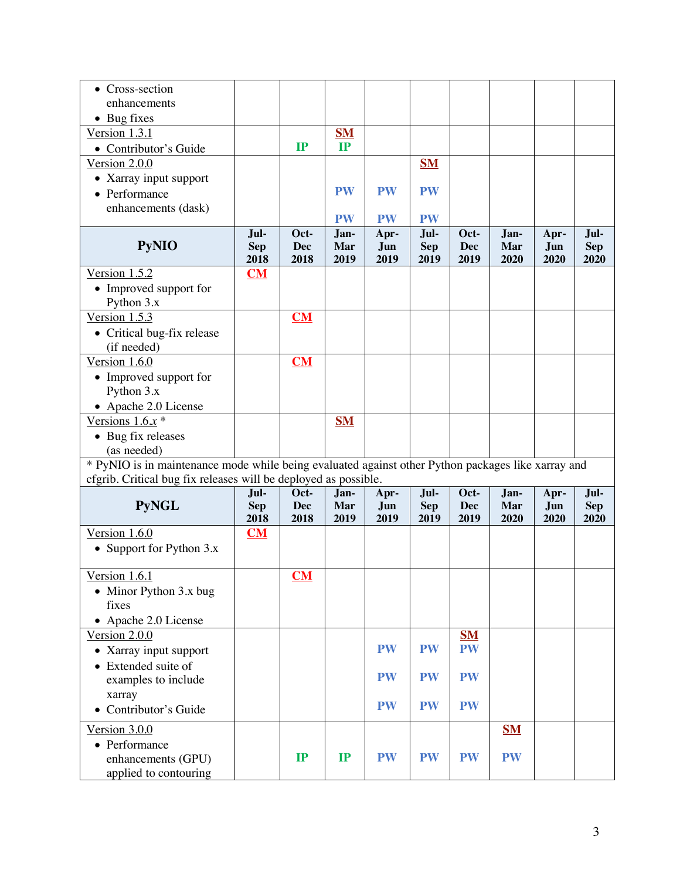| • Cross-section                                                                                                                                                       |            |            |             |             |                    |            |             |             |            |
|-----------------------------------------------------------------------------------------------------------------------------------------------------------------------|------------|------------|-------------|-------------|--------------------|------------|-------------|-------------|------------|
| enhancements                                                                                                                                                          |            |            |             |             |                    |            |             |             |            |
| $\bullet$ Bug fixes                                                                                                                                                   |            |            |             |             |                    |            |             |             |            |
| Version 1.3.1                                                                                                                                                         |            |            | $SM$        |             |                    |            |             |             |            |
| • Contributor's Guide                                                                                                                                                 |            | IP         | IP          |             |                    |            |             |             |            |
| Version 2.0.0                                                                                                                                                         |            |            |             |             | <b>SM</b>          |            |             |             |            |
| • Xarray input support                                                                                                                                                |            |            |             |             |                    |            |             |             |            |
| • Performance                                                                                                                                                         |            |            | <b>PW</b>   | <b>PW</b>   | <b>PW</b>          |            |             |             |            |
| enhancements (dask)                                                                                                                                                   |            |            |             |             |                    |            |             |             |            |
|                                                                                                                                                                       | Jul-       | Oct-       | <b>PW</b>   | <b>PW</b>   | <b>PW</b>          | Oct-       |             |             | Jul-       |
| <b>PyNIO</b>                                                                                                                                                          | <b>Sep</b> | <b>Dec</b> | Jan-<br>Mar | Apr-<br>Jun | Jul-<br><b>Sep</b> | <b>Dec</b> | Jan-<br>Mar | Apr-<br>Jun | <b>Sep</b> |
|                                                                                                                                                                       | 2018       | 2018       | 2019        | 2019        | 2019               | 2019       | 2020        | 2020        | 2020       |
| Version 1.5.2                                                                                                                                                         | CM         |            |             |             |                    |            |             |             |            |
| • Improved support for                                                                                                                                                |            |            |             |             |                    |            |             |             |            |
| Python 3.x                                                                                                                                                            |            |            |             |             |                    |            |             |             |            |
| Version $1.5.3$                                                                                                                                                       |            | CM         |             |             |                    |            |             |             |            |
| • Critical bug-fix release                                                                                                                                            |            |            |             |             |                    |            |             |             |            |
| (if needed)                                                                                                                                                           |            |            |             |             |                    |            |             |             |            |
| Version 1.6.0                                                                                                                                                         |            | CM         |             |             |                    |            |             |             |            |
| • Improved support for                                                                                                                                                |            |            |             |             |                    |            |             |             |            |
| Python 3.x                                                                                                                                                            |            |            |             |             |                    |            |             |             |            |
| • Apache 2.0 License                                                                                                                                                  |            |            |             |             |                    |            |             |             |            |
| Versions $1.6x$ <sup>*</sup>                                                                                                                                          |            |            | $SM$        |             |                    |            |             |             |            |
| • Bug fix releases                                                                                                                                                    |            |            |             |             |                    |            |             |             |            |
| (as needed)                                                                                                                                                           |            |            |             |             |                    |            |             |             |            |
| * PyNIO is in maintenance mode while being evaluated against other Python packages like xarray and<br>cfgrib. Critical bug fix releases will be deployed as possible. |            |            |             |             |                    |            |             |             |            |
|                                                                                                                                                                       | Jul-       | Oct-       | Jan-        | Apr-        | Jul-               | Oct-       | Jan-        | Apr-        | Jul-       |
| <b>PyNGL</b>                                                                                                                                                          | <b>Sep</b> | <b>Dec</b> | Mar         | Jun         | <b>Sep</b>         | <b>Dec</b> | Mar         | Jun         | <b>Sep</b> |
|                                                                                                                                                                       | 2018       | 2018       | 2019        | 2019        | 2019               | 2019       | 2020        | 2020        | 2020       |
| Version 1.6.0                                                                                                                                                         | CM         |            |             |             |                    |            |             |             |            |
| • Support for Python 3.x                                                                                                                                              |            |            |             |             |                    |            |             |             |            |
| Version $1.6.1$                                                                                                                                                       |            | $CM$       |             |             |                    |            |             |             |            |
|                                                                                                                                                                       |            |            |             |             |                    |            |             |             |            |
| • Minor Python 3.x bug<br>fixes                                                                                                                                       |            |            |             |             |                    |            |             |             |            |
| • Apache 2.0 License                                                                                                                                                  |            |            |             |             |                    |            |             |             |            |
| Version 2.0.0                                                                                                                                                         |            |            |             |             |                    | $SM$       |             |             |            |
| • Xarray input support                                                                                                                                                |            |            |             | <b>PW</b>   | <b>PW</b>          | <b>PW</b>  |             |             |            |
| Extended suite of                                                                                                                                                     |            |            |             |             |                    |            |             |             |            |
| examples to include                                                                                                                                                   |            |            |             | <b>PW</b>   | <b>PW</b>          | <b>PW</b>  |             |             |            |
| xarray                                                                                                                                                                |            |            |             |             |                    |            |             |             |            |
| Contributor's Guide                                                                                                                                                   |            |            |             | <b>PW</b>   | <b>PW</b>          | <b>PW</b>  |             |             |            |
|                                                                                                                                                                       |            |            |             |             |                    |            |             |             |            |
| Version $3.0.0$                                                                                                                                                       |            |            |             |             |                    |            | $SM$        |             |            |
| • Performance                                                                                                                                                         |            | IP         | IP          | <b>PW</b>   | <b>PW</b>          | <b>PW</b>  | <b>PW</b>   |             |            |
| enhancements (GPU)                                                                                                                                                    |            |            |             |             |                    |            |             |             |            |
| applied to contouring                                                                                                                                                 |            |            |             |             |                    |            |             |             |            |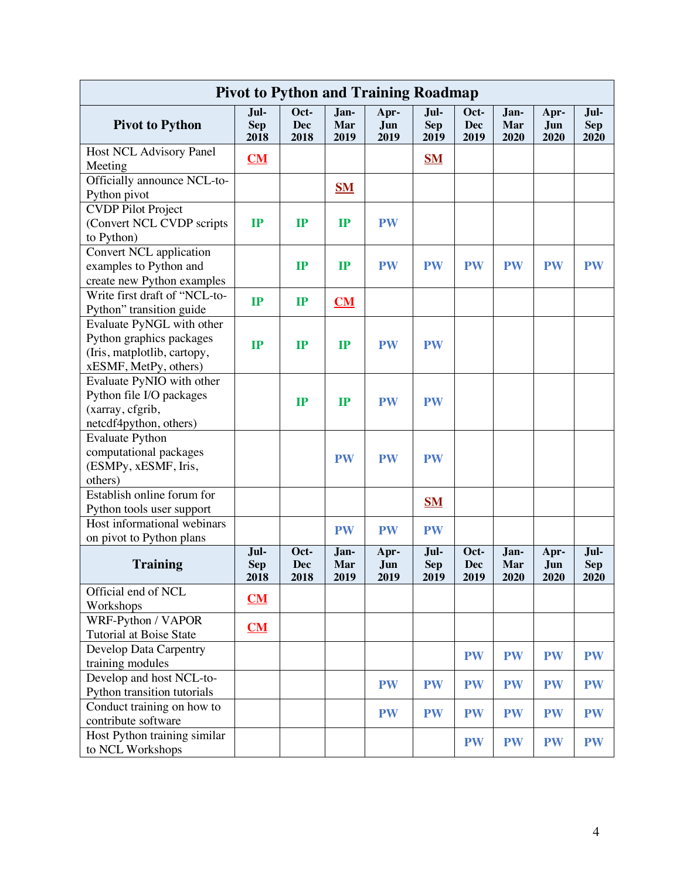| <b>Pivot to Python and Training Roadmap</b>                                                                   |                            |                            |                     |                     |                            |                     |                     |                     |                            |
|---------------------------------------------------------------------------------------------------------------|----------------------------|----------------------------|---------------------|---------------------|----------------------------|---------------------|---------------------|---------------------|----------------------------|
| <b>Pivot to Python</b>                                                                                        | Jul-<br><b>Sep</b><br>2018 | Oct-<br><b>Dec</b><br>2018 | Jan-<br>Mar<br>2019 | Apr-<br>Jun<br>2019 | Jul-<br><b>Sep</b><br>2019 | Oct-<br>Dec<br>2019 | Jan-<br>Mar<br>2020 | Apr-<br>Jun<br>2020 | Jul-<br><b>Sep</b><br>2020 |
| Host NCL Advisory Panel<br>Meeting                                                                            | CM                         |                            |                     |                     | $SM$                       |                     |                     |                     |                            |
| Officially announce NCL-to-<br>Python pivot                                                                   |                            |                            | $SM$                |                     |                            |                     |                     |                     |                            |
| <b>CVDP</b> Pilot Project<br>(Convert NCL CVDP scripts<br>to Python)                                          | IP                         | IP                         | IP                  | <b>PW</b>           |                            |                     |                     |                     |                            |
| Convert NCL application<br>examples to Python and<br>create new Python examples                               |                            | IP                         | IP                  | <b>PW</b>           | <b>PW</b>                  | <b>PW</b>           | <b>PW</b>           | <b>PW</b>           | <b>PW</b>                  |
| Write first draft of "NCL-to-<br>Python" transition guide                                                     | IP                         | IP                         | CM                  |                     |                            |                     |                     |                     |                            |
| Evaluate PyNGL with other<br>Python graphics packages<br>(Iris, matplotlib, cartopy,<br>xESMF, MetPy, others) | IP                         | IP                         | IP                  | <b>PW</b>           | <b>PW</b>                  |                     |                     |                     |                            |
| Evaluate PyNIO with other<br>Python file I/O packages<br>(xarray, cfgrib,<br>netcdf4python, others)           |                            | IP                         | $\mathbf{IP}$       | <b>PW</b>           | <b>PW</b>                  |                     |                     |                     |                            |
| <b>Evaluate Python</b><br>computational packages<br>(ESMPy, xESMF, Iris,<br>others)                           |                            |                            | <b>PW</b>           | <b>PW</b>           | <b>PW</b>                  |                     |                     |                     |                            |
| Establish online forum for                                                                                    |                            |                            |                     |                     | $S_{1}$                    |                     |                     |                     |                            |
| Python tools user support<br>Host informational webinars                                                      |                            |                            | <b>PW</b>           | <b>PW</b>           | <b>PW</b>                  |                     |                     |                     |                            |
| on pivot to Python plans<br><b>Training</b>                                                                   | Jul-<br><b>Sep</b><br>2018 | Oct-<br><b>Dec</b><br>2018 | Jan-<br>Mar<br>2019 | Apr-<br>Jun<br>2019 | Jul-<br><b>Sep</b><br>2019 | Oct-<br>Dec<br>2019 | Jan-<br>Mar<br>2020 | Apr-<br>Jun<br>2020 | Jul-<br><b>Sep</b><br>2020 |
| Official end of NCL<br>Workshops                                                                              | CM                         |                            |                     |                     |                            |                     |                     |                     |                            |
| WRF-Python / VAPOR<br>Tutorial at Boise State                                                                 | CM                         |                            |                     |                     |                            |                     |                     |                     |                            |
| Develop Data Carpentry<br>training modules                                                                    |                            |                            |                     |                     |                            | <b>PW</b>           | <b>PW</b>           | <b>PW</b>           | <b>PW</b>                  |
| Develop and host NCL-to-<br>Python transition tutorials                                                       |                            |                            |                     | <b>PW</b>           | <b>PW</b>                  | <b>PW</b>           | <b>PW</b>           | <b>PW</b>           | <b>PW</b>                  |
| Conduct training on how to<br>contribute software                                                             |                            |                            |                     | <b>PW</b>           | <b>PW</b>                  | <b>PW</b>           | <b>PW</b>           | <b>PW</b>           | <b>PW</b>                  |
| Host Python training similar<br>to NCL Workshops                                                              |                            |                            |                     |                     |                            | <b>PW</b>           | <b>PW</b>           | <b>PW</b>           | <b>PW</b>                  |